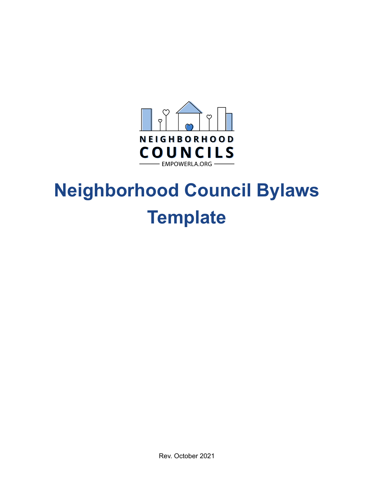

# **Neighborhood Council Bylaws Template**

Rev. October 2021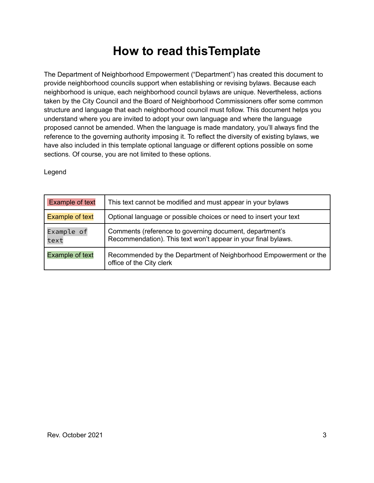# **How to read thisTemplate**

The Department of Neighborhood Empowerment ("Department") has created this document to provide neighborhood councils support when establishing or revising bylaws. Because each neighborhood is unique, each neighborhood council bylaws are unique. Nevertheless, actions taken by the City Council and the Board of Neighborhood Commissioners offer some common structure and language that each neighborhood council must follow. This document helps you understand where you are invited to adopt your own language and where the language proposed cannot be amended. When the language is made mandatory, you'll always find the reference to the governing authority imposing it. To reflect the diversity of existing bylaws, we have also included in this template optional language or different options possible on some sections. Of course, you are not limited to these options.

Legend

| <b>Example of text</b> | This text cannot be modified and must appear in your bylaws                                                              |
|------------------------|--------------------------------------------------------------------------------------------------------------------------|
| <b>Example of text</b> | Optional language or possible choices or need to insert your text                                                        |
| Example of<br>text     | Comments (reference to governing document, department's<br>Recommendation). This text won't appear in your final bylaws. |
| <b>Example of text</b> | Recommended by the Department of Neighborhood Empowerment or the<br>office of the City clerk                             |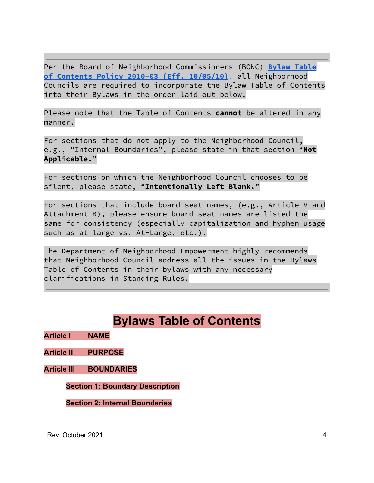Per the Board of Neighborhood Commissioners (BONC) **Bylaw [Table](https://empowerla.org/wp-content/uploads/2012/03/Bylaw_Table_of_Contents_Policy_10-05-10.pdf) of Contents Policy 2010-03 (Eff. [10/05/10\)](https://empowerla.org/wp-content/uploads/2012/03/Bylaw_Table_of_Contents_Policy_10-05-10.pdf)**, all Neighborhood Councils are required to incorporate the Bylaw Table of Contents into their Bylaws in the order laid out below.

Please note that the Table of Contents **cannot** be altered in any manner.

For sections that do not apply to the Neighborhood Council, e.g., "Internal Boundaries", please state in that section "**Not Applicable.**"

For sections on which the Neighborhood Council chooses to be silent, please state, "**Intentionally Left Blank.**"

For sections that include board seat names, (e.g., Article V and Attachment B), please ensure board seat names are listed the same for consistency (especially capitalization and hyphen usage such as at large vs. At-Large, etc.).

The Department of Neighborhood Empowerment highly recommends that Neighborhood Council address all the issues in the Bylaws Table of Contents in their bylaws with any necessary clarifications in Standing Rules.

# **Bylaws Table of Contents**

**Article I NAME**

**Article II PURPOSE**

**Article III BOUNDARIES**

**Section 1: Boundary Description**

**Section 2: Internal Boundaries**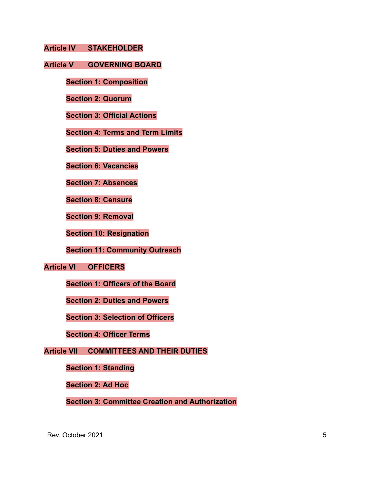**Article IV STAKEHOLDER**

#### **Article V GOVERNING BOARD**

**Section 1: Composition**

**Section 2: Quorum**

**Section 3: Official Actions**

**Section 4: Terms and Term Limits**

**Section 5: Duties and Powers**

**Section 6: Vacancies**

**Section 7: Absences**

**Section 8: Censure**

**Section 9: Removal**

**Section 10: Resignation**

**Section 11: Community Outreach**

**Article VI OFFICERS**

**Section 1: Officers of the Board**

**Section 2: Duties and Powers**

**Section 3: Selection of Officers**

**Section 4: Officer Terms**

**Article VII COMMITTEES AND THEIR DUTIES**

**Section 1: Standing**

**Section 2: Ad Hoc**

**Section 3: Committee Creation and Authorization**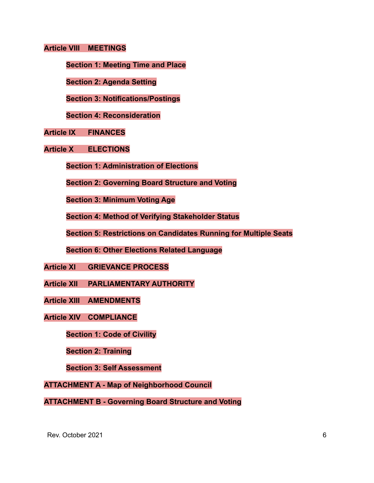#### **Article VIII MEETINGS**

**Section 1: Meeting Time and Place**

**Section 2: Agenda Setting**

**Section 3: Notifications/Postings**

**Section 4: Reconsideration**

**Article IX FINANCES**

**Article X ELECTIONS**

**Section 1: Administration of Elections**

**Section 2: Governing Board Structure and Voting**

**Section 3: Minimum Voting Age**

**Section 4: Method of Verifying Stakeholder Status**

**Section 5: Restrictions on Candidates Running for Multiple Seats**

**Section 6: Other Elections Related Language**

**Article XI GRIEVANCE PROCESS**

**Article XII PARLIAMENTARY AUTHORITY**

**Article XIII AMENDMENTS**

**Article XIV COMPLIANCE**

**Section 1: Code of Civility**

**Section 2: Training**

**Section 3: Self Assessment**

**ATTACHMENT A - Map of Neighborhood Council**

**ATTACHMENT B - Governing Board Structure and Voting**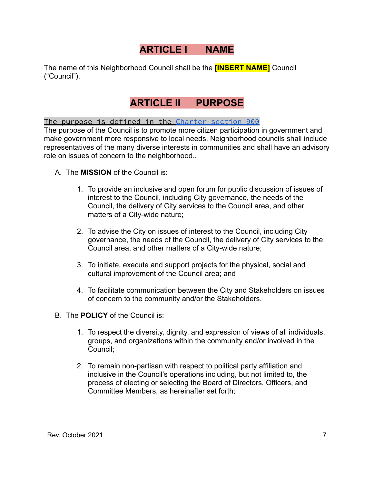# **ARTICLE I NAME**

The name of this Neighborhood Council shall be the **[INSERT NAME]** Council ("Council").

# **ARTICLE II PURPOSE**

The purpose is defined in the Charter [section](https://codelibrary.amlegal.com/codes/los_angeles/latest/laac/0-0-0-3722) 900

The purpose of the Council is to promote more citizen participation in government and make government more responsive to local needs. Neighborhood councils shall include representatives of the many diverse interests in communities and shall have an advisory role on issues of concern to the neighborhood..

- A. The **MISSION** of the Council is:
	- 1. To provide an inclusive and open forum for public discussion of issues of interest to the Council, including City governance, the needs of the Council, the delivery of City services to the Council area, and other matters of a City-wide nature;
	- 2. To advise the City on issues of interest to the Council, including City governance, the needs of the Council, the delivery of City services to the Council area, and other matters of a City-wide nature;
	- 3. To initiate, execute and support projects for the physical, social and cultural improvement of the Council area; and
	- 4. To facilitate communication between the City and Stakeholders on issues of concern to the community and/or the Stakeholders.
- B. The **POLICY** of the Council is:
	- 1. To respect the diversity, dignity, and expression of views of all individuals, groups, and organizations within the community and/or involved in the Council;
	- 2. To remain non-partisan with respect to political party affiliation and inclusive in the Council's operations including, but not limited to, the process of electing or selecting the Board of Directors, Officers, and Committee Members, as hereinafter set forth;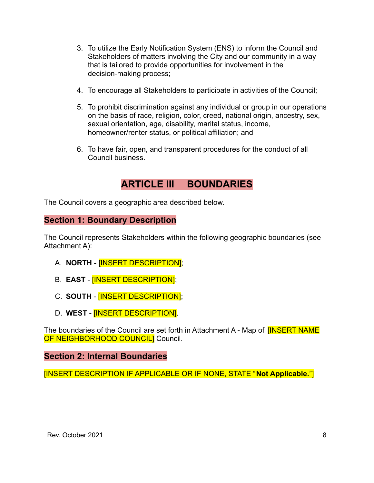- 3. To utilize the Early Notification System (ENS) to inform the Council and Stakeholders of matters involving the City and our community in a way that is tailored to provide opportunities for involvement in the decision-making process;
- 4. To encourage all Stakeholders to participate in activities of the Council;
- 5. To prohibit discrimination against any individual or group in our operations on the basis of race, religion, color, creed, national origin, ancestry, sex, sexual orientation, age, disability, marital status, income, homeowner/renter status, or political affiliation; and
- 6. To have fair, open, and transparent procedures for the conduct of all Council business.

# **ARTICLE III BOUNDARIES**

The Council covers a geographic area described below.

# **Section 1: Boundary Description**

The Council represents Stakeholders within the following geographic boundaries (see Attachment A):

- A. **NORTH** [INSERT DESCRIPTION];
- B. **EAST** [INSERT DESCRIPTION];
- C. **SOUTH** [INSERT DESCRIPTION];
- D. **WEST** [INSERT DESCRIPTION].

The boundaries of the Council are set forth in Attachment A - Map of **[INSERT NAME** OF NEIGHBORHOOD COUNCIL] Council.

## **Section 2: Internal Boundaries**

[INSERT DESCRIPTION IF APPLICABLE OR IF NONE, STATE "**Not Applicable.**"]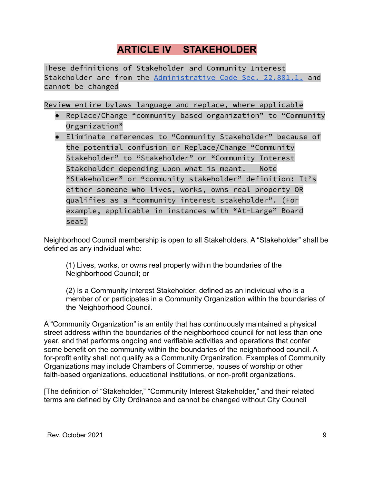# **ARTICLE IV STAKEHOLDER**

These definitions of Stakeholder and Community Interest Stakeholder are from the [Administrative](https://codelibrary.amlegal.com/codes/los_angeles/latest/laac/0-0-0-67344) Code Sec. 22.801.1. and cannot be changed

Review entire bylaws language and replace, where applicable

- Replace/Change "community based organization" to "Community Organization"
- Eliminate references to "Community Stakeholder" because of the potential confusion or Replace/Change "Community Stakeholder" to "Stakeholder" or "Community Interest Stakeholder depending upon what is meant. Note "Stakeholder" or "community stakeholder" definition: It's either someone who lives, works, owns real property OR qualifies as a "community interest stakeholder". (For example, applicable in instances with "At-Large" Board seat)

Neighborhood Council membership is open to all Stakeholders. A "Stakeholder" shall be defined as any individual who:

(1) Lives, works, or owns real property within the boundaries of the Neighborhood Council; or

(2) Is a Community Interest Stakeholder, defined as an individual who is a member of or participates in a Community Organization within the boundaries of the Neighborhood Council.

A "Community Organization" is an entity that has continuously maintained a physical street address within the boundaries of the neighborhood council for not less than one year, and that performs ongoing and verifiable activities and operations that confer some benefit on the community within the boundaries of the neighborhood council. A for-profit entity shall not qualify as a Community Organization. Examples of Community Organizations may include Chambers of Commerce, houses of worship or other faith-based organizations, educational institutions, or non-profit organizations.

[The definition of "Stakeholder," "Community Interest Stakeholder," and their related terms are defined by City Ordinance and cannot be changed without City Council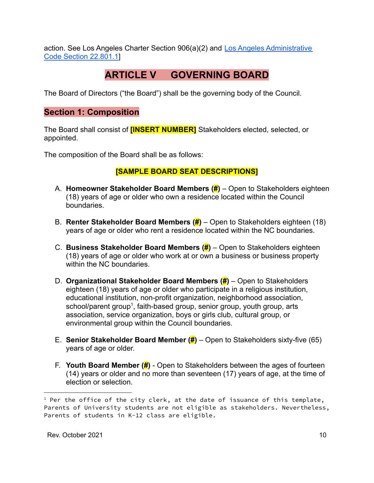action. See Los Angeles Charter Section 906(a)(2) and [Los Angeles Administrative](https://codelibrary.amlegal.com/codes/los_angeles/latest/laac/0-0-0-67344) [Code Section 22.801.1](https://codelibrary.amlegal.com/codes/los_angeles/latest/laac/0-0-0-67344)]

# **ARTICLE V GOVERNING BOARD**

The Board of Directors ("the Board") shall be the governing body of the Council.

# **Section 1: Composition**

The Board shall consist of **[INSERT NUMBER]** Stakeholders elected, selected, or appointed.

The composition of the Board shall be as follows:

# **[SAMPLE BOARD SEAT DESCRIPTIONS]**

- A. **Homeowner Stakeholder Board Members (#)** Open to Stakeholders eighteen (18) years of age or older who own a residence located within the Council boundaries.
- B. **Renter Stakeholder Board Members (#)** Open to Stakeholders eighteen (18) years of age or older who rent a residence located within the NC boundaries.
- C. **Business Stakeholder Board Members (#)** Open to Stakeholders eighteen (18) years of age or older who work at or own a business or business property within the NC boundaries.
- D. **Organizational Stakeholder Board Members (#)** Open to Stakeholders eighteen (18) years of age or older who participate in a religious institution, educational institution, non-profit organization, neighborhood association, school/parent group<sup>1</sup>, faith-based group, senior group, youth group, arts association, service organization, boys or girls club, cultural group, or environmental group within the Council boundaries.
- E. **Senior Stakeholder Board Member (#)** Open to Stakeholders sixty-five (65) years of age or older.
- F. **Youth Board Member (#)** Open to Stakeholders between the ages of fourteen (14) years or older and no more than seventeen (17) years of age, at the time of election or selection.

 $1$  Per the office of the city clerk, at the date of issuance of this template, Parents of University students are not eligible as stakeholders. Nevertheless, Parents of students in K-12 class are eligible.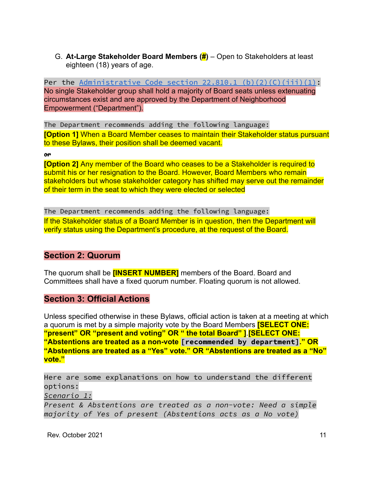G. **At-Large Stakeholder Board Members (#)** – Open to Stakeholders at least eighteen (18) years of age.

Per the Administrative Code section  $22.810.1$  [\(b\)\(2\)\(C\)\(iii\)\(1\)](https://codelibrary.amlegal.com/codes/los_angeles/latest/laac/0-0-0-62587): No single Stakeholder group shall hold a majority of Board seats unless extenuating circumstances exist and are approved by the Department of Neighborhood Empowerment ("Department").

The Department recommends adding the following language: **[Option 1]** When a Board Member ceases to maintain their Stakeholder status pursuant to these Bylaws, their position shall be deemed vacant.

#### or

**[Option 2]** Any member of the Board who ceases to be a Stakeholder is required to submit his or her resignation to the Board. However, Board Members who remain stakeholders but whose stakeholder category has shifted may serve out the remainder of their term in the seat to which they were elected or selected

The Department recommends adding the following language: If the Stakeholder status of a Board Member is in question, then the Department will verify status using the Department's procedure, at the request of the Board.

## **Section 2: Quorum**

The quorum shall be **[INSERT NUMBER]** members of the Board. Board and Committees shall have a fixed quorum number. Floating quorum is not allowed.

# **Section 3: Official Actions**

Unless specified otherwise in these Bylaws, official action is taken at a meeting at which a quorum is met by a simple majority vote by the Board Members **[SELECT ONE: "present" OR "present and voting" OR " the total Board" ]**.**[SELECT ONE: "Abstentions are treated as a non-vote [recommended by department]." OR "Abstentions are treated as a "Yes" vote." OR "Abstentions are treated as a "No" vote."**

Here are some explanations on how to understand the different options:

*Scenario 1:*

*Present & Abstentions are treated as a non-vote: Need a simple majority of Yes of present (Abstentions acts as a No vote)*

Rev. October 2021 **11**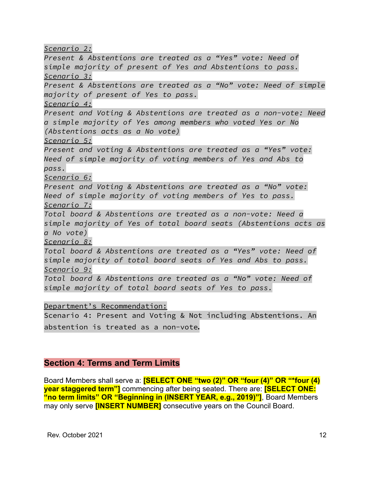*Scenario 2:*

*Present & Abstentions are treated as a "Yes" vote: Need of simple majority of present of Yes and Abstentions to pass. Scenario 3: Present & Abstentions are treated as a "No" vote: Need of simple majority of present of Yes to pass. Scenario 4: Present and Voting & Abstentions are treated as a non-vote: Need a simple majority of Yes among members who voted Yes or No (Abstentions acts as a No vote) Scenario 5: Present and voting & Abstentions are treated as a "Yes" vote: Need of simple majority of voting members of Yes and Abs to pass. Scenario 6: Present and Voting & Abstentions are treated as a "No" vote: Need of simple majority of voting members of Yes to pass. Scenario 7: Total board & Abstentions are treated as a non-vote: Need a simple majority of Yes of total board seats (Abstentions acts as a No vote) Scenario 8: Total board & Abstentions are treated as a "Yes" vote: Need of simple majority of total board seats of Yes and Abs to pass. Scenario 9: Total board & Abstentions are treated as a "No" vote: Need of simple majority of total board seats of Yes to pass.*

Department's Recommendation:

Scenario 4: Present and Voting & Not including Abstentions. An abstention is treated as a non-vote.

## **Section 4: Terms and Term Limits**

Board Members shall serve a: **[SELECT ONE "two (2)" OR "four (4)" OR "\*four (4) year staggered term"]** commencing after being seated. There are: **[SELECT ONE: "no term limits" OR "Beginning in (INSERT YEAR, e.g., 2019)"]**, Board Members may only serve **[INSERT NUMBER]** consecutive years on the Council Board.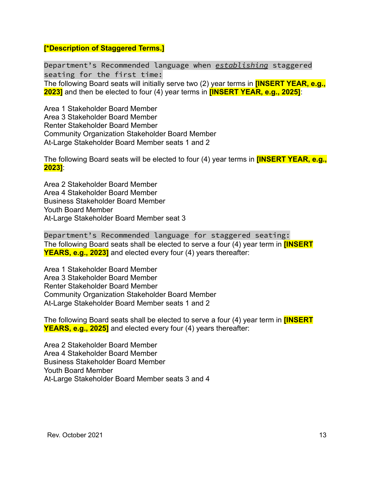#### **[\*Description of Staggered Terms.]**

Department's Recommended language when *establishing* staggered seating for the first time: The following Board seats will initially serve two (2) year terms in **[INSERT YEAR, e.g., 2023]** and then be elected to four (4) year terms in **[INSERT YEAR, e.g., 2025]**:

Area 1 Stakeholder Board Member Area 3 Stakeholder Board Member Renter Stakeholder Board Member Community Organization Stakeholder Board Member At-Large Stakeholder Board Member seats 1 and 2

The following Board seats will be elected to four (4) year terms in **[INSERT YEAR, e.g., 2023]**:

Area 2 Stakeholder Board Member Area 4 Stakeholder Board Member Business Stakeholder Board Member Youth Board Member At-Large Stakeholder Board Member seat 3

Department's Recommended language for staggered seating: The following Board seats shall be elected to serve a four (4) year term in **[INSERT YEARS, e.g., 2023]** and elected every four (4) years thereafter:

Area 1 Stakeholder Board Member Area 3 Stakeholder Board Member Renter Stakeholder Board Member Community Organization Stakeholder Board Member At-Large Stakeholder Board Member seats 1 and 2

The following Board seats shall be elected to serve a four (4) year term in **[INSERT YEARS, e.g., 2025]** and elected every four (4) years thereafter:

Area 2 Stakeholder Board Member Area 4 Stakeholder Board Member Business Stakeholder Board Member Youth Board Member At-Large Stakeholder Board Member seats 3 and 4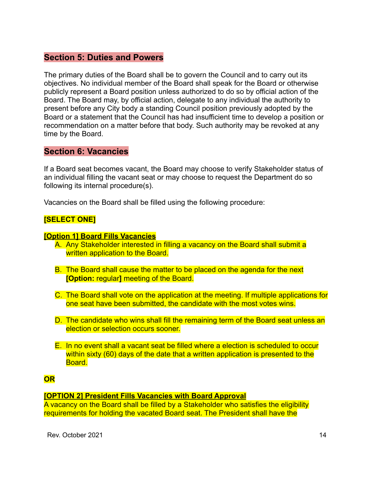# **Section 5: Duties and Powers**

The primary duties of the Board shall be to govern the Council and to carry out its objectives. No individual member of the Board shall speak for the Board or otherwise publicly represent a Board position unless authorized to do so by official action of the Board. The Board may, by official action, delegate to any individual the authority to present before any City body a standing Council position previously adopted by the Board or a statement that the Council has had insufficient time to develop a position or recommendation on a matter before that body. Such authority may be revoked at any time by the Board.

## **Section 6: Vacancies**

If a Board seat becomes vacant, the Board may choose to verify Stakeholder status of an individual filling the vacant seat or may choose to request the Department do so following its internal procedure(s).

Vacancies on the Board shall be filled using the following procedure:

## **[SELECT ONE]**

#### **[Option 1] Board Fills Vacancies**

- A. Any Stakeholder interested in filling a vacancy on the Board shall submit a written application to the Board.
- B. The Board shall cause the matter to be placed on the agenda for the next **[Option:** regular**]** meeting of the Board.
- C. The Board shall vote on the application at the meeting. If multiple applications for one seat have been submitted, the candidate with the most votes wins.
- D. The candidate who wins shall fill the remaining term of the Board seat unless an election or selection occurs sooner.
- E. In no event shall a vacant seat be filled where a election is scheduled to occur within sixty (60) days of the date that a written application is presented to the Board.

#### **OR**

#### **[OPTION 2] President Fills Vacancies with Board Approval**

A vacancy on the Board shall be filled by a Stakeholder who satisfies the eligibility requirements for holding the vacated Board seat. The President shall have the

Rev. October 2021 **14**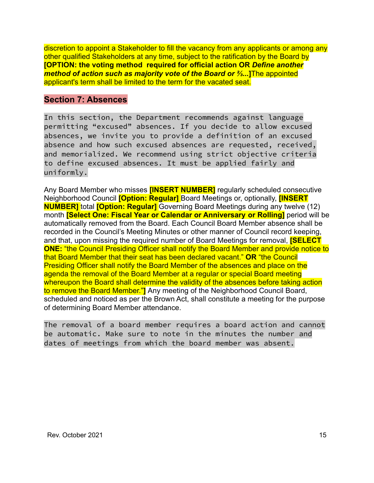discretion to appoint a Stakeholder to fill the vacancy from any applicants or among any other qualified Stakeholders at any time, subject to the ratification by the Board by **[OPTION: the voting method required for official action OR** *Define another method of action such as majority vote of the Board or ⅔...***]**The appointed applicant's term shall be limited to the term for the vacated seat.

## **Section 7: Absences**

In this section, the Department recommends against language permitting "excused" absences. If you decide to allow excused absences, we invite you to provide a definition of an excused absence and how such excused absences are requested, received, and memorialized. We recommend using strict objective criteria to define excused absences. It must be applied fairly and uniformly.

Any Board Member who misses **[INSERT NUMBER]** regularly scheduled consecutive Neighborhood Council **[Option: Regular]** Board Meetings or, optionally, **[INSERT NUMBER]** total **[Option: Regular]** Governing Board Meetings during any twelve (12) month **[Select One: Fiscal Year or Calendar or Anniversary or Rolling]** period will be automatically removed from the Board. Each Council Board Member absence shall be recorded in the Council's Meeting Minutes or other manner of Council record keeping, and that, upon missing the required number of Board Meetings for removal, **[SELECT ONE:** "the Council Presiding Officer shall notify the Board Member and provide notice to that Board Member that their seat has been declared vacant." **OR** "the Council Presiding Officer shall notify the Board Member of the absences and place on the agenda the removal of the Board Member at a regular or special Board meeting whereupon the Board shall determine the validity of the absences before taking action to remove the Board Member."**]** Any meeting of the Neighborhood Council Board, scheduled and noticed as per the Brown Act, shall constitute a meeting for the purpose of determining Board Member attendance.

The removal of a board member requires a board action and cannot be automatic. Make sure to note in the minutes the number and dates of meetings from which the board member was absent.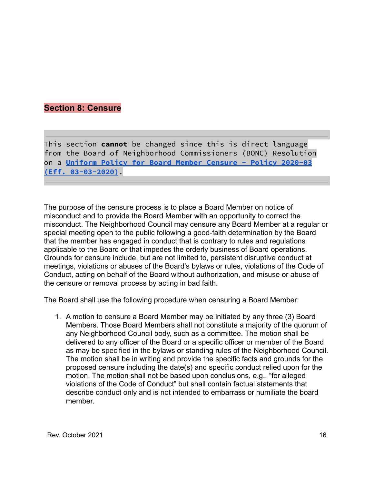# **Section 8: Censure**

This section **cannot** be changed since this is direct language from the Board of Neighborhood Commissioners (BONC) Resolution on a **Uniform Policy for Board Member [Censure](https://empowerla.org/wp-content/uploads/2020/04/NC-Board-Member-Censure-Policy-2020-03-03.pdf) - Policy 2020-03 (Eff. [03-03-2020\)](https://empowerla.org/wp-content/uploads/2020/04/NC-Board-Member-Censure-Policy-2020-03-03.pdf)**.

The purpose of the censure process is to place a Board Member on notice of misconduct and to provide the Board Member with an opportunity to correct the misconduct. The Neighborhood Council may censure any Board Member at a regular or special meeting open to the public following a good-faith determination by the Board that the member has engaged in conduct that is contrary to rules and regulations applicable to the Board or that impedes the orderly business of Board operations. Grounds for censure include, but are not limited to, persistent disruptive conduct at meetings, violations or abuses of the Board's bylaws or rules, violations of the Code of Conduct, acting on behalf of the Board without authorization, and misuse or abuse of the censure or removal process by acting in bad faith.

The Board shall use the following procedure when censuring a Board Member:

1. A motion to censure a Board Member may be initiated by any three (3) Board Members. Those Board Members shall not constitute a majority of the quorum of any Neighborhood Council body, such as a committee. The motion shall be delivered to any officer of the Board or a specific officer or member of the Board as may be specified in the bylaws or standing rules of the Neighborhood Council. The motion shall be in writing and provide the specific facts and grounds for the proposed censure including the date(s) and specific conduct relied upon for the motion. The motion shall not be based upon conclusions, e.g., "for alleged violations of the Code of Conduct" but shall contain factual statements that describe conduct only and is not intended to embarrass or humiliate the board member.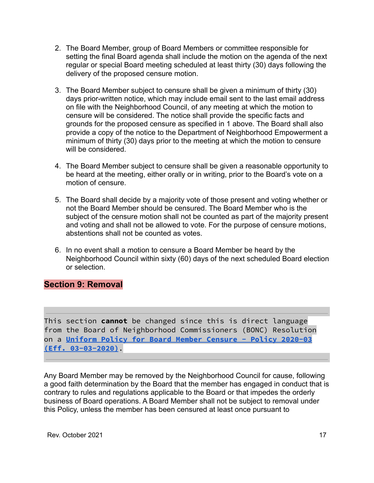- 2. The Board Member, group of Board Members or committee responsible for setting the final Board agenda shall include the motion on the agenda of the next regular or special Board meeting scheduled at least thirty (30) days following the delivery of the proposed censure motion.
- 3. The Board Member subject to censure shall be given a minimum of thirty (30) days prior-written notice, which may include email sent to the last email address on file with the Neighborhood Council, of any meeting at which the motion to censure will be considered. The notice shall provide the specific facts and grounds for the proposed censure as specified in 1 above. The Board shall also provide a copy of the notice to the Department of Neighborhood Empowerment a minimum of thirty (30) days prior to the meeting at which the motion to censure will be considered.
- 4. The Board Member subject to censure shall be given a reasonable opportunity to be heard at the meeting, either orally or in writing, prior to the Board's vote on a motion of censure.
- 5. The Board shall decide by a majority vote of those present and voting whether or not the Board Member should be censured. The Board Member who is the subject of the censure motion shall not be counted as part of the majority present and voting and shall not be allowed to vote. For the purpose of censure motions, abstentions shall not be counted as votes.
- 6. In no event shall a motion to censure a Board Member be heard by the Neighborhood Council within sixty (60) days of the next scheduled Board election or selection.

# **Section 9: Removal**

This section **cannot** be changed since this is direct language from the Board of Neighborhood Commissioners (BONC) Resolution on a **Uniform Policy for Board Member [Censure](https://empowerla.org/wp-content/uploads/2020/04/NC-Board-Member-Censure-Policy-2020-03-03.pdf) - Policy 2020-03 (Eff. [03-03-2020\)](https://empowerla.org/wp-content/uploads/2020/04/NC-Board-Member-Censure-Policy-2020-03-03.pdf)**.

Any Board Member may be removed by the Neighborhood Council for cause, following a good faith determination by the Board that the member has engaged in conduct that is contrary to rules and regulations applicable to the Board or that impedes the orderly business of Board operations. A Board Member shall not be subject to removal under this Policy, unless the member has been censured at least once pursuant to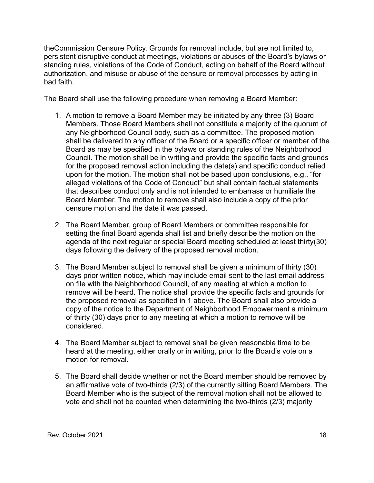theCommission Censure Policy. Grounds for removal include, but are not limited to, persistent disruptive conduct at meetings, violations or abuses of the Board's bylaws or standing rules, violations of the Code of Conduct, acting on behalf of the Board without authorization, and misuse or abuse of the censure or removal processes by acting in bad faith.

The Board shall use the following procedure when removing a Board Member:

- 1. A motion to remove a Board Member may be initiated by any three (3) Board Members. Those Board Members shall not constitute a majority of the quorum of any Neighborhood Council body, such as a committee. The proposed motion shall be delivered to any officer of the Board or a specific officer or member of the Board as may be specified in the bylaws or standing rules of the Neighborhood Council. The motion shall be in writing and provide the specific facts and grounds for the proposed removal action including the date(s) and specific conduct relied upon for the motion. The motion shall not be based upon conclusions, e.g., "for alleged violations of the Code of Conduct" but shall contain factual statements that describes conduct only and is not intended to embarrass or humiliate the Board Member. The motion to remove shall also include a copy of the prior censure motion and the date it was passed.
- 2. The Board Member, group of Board Members or committee responsible for setting the final Board agenda shall list and briefly describe the motion on the agenda of the next regular or special Board meeting scheduled at least thirty(30) days following the delivery of the proposed removal motion.
- 3. The Board Member subject to removal shall be given a minimum of thirty (30) days prior written notice, which may include email sent to the last email address on file with the Neighborhood Council, of any meeting at which a motion to remove will be heard. The notice shall provide the specific facts and grounds for the proposed removal as specified in 1 above. The Board shall also provide a copy of the notice to the Department of Neighborhood Empowerment a minimum of thirty (30) days prior to any meeting at which a motion to remove will be considered.
- 4. The Board Member subject to removal shall be given reasonable time to be heard at the meeting, either orally or in writing, prior to the Board's vote on a motion for removal.
- 5. The Board shall decide whether or not the Board member should be removed by an affirmative vote of two-thirds (2/3) of the currently sitting Board Members. The Board Member who is the subject of the removal motion shall not be allowed to vote and shall not be counted when determining the two-thirds (2/3) majority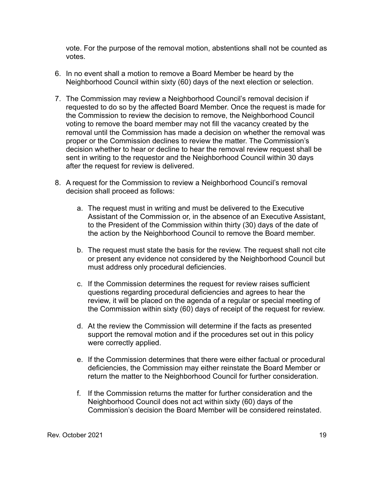vote. For the purpose of the removal motion, abstentions shall not be counted as votes.

- 6. In no event shall a motion to remove a Board Member be heard by the Neighborhood Council within sixty (60) days of the next election or selection.
- 7. The Commission may review a Neighborhood Council's removal decision if requested to do so by the affected Board Member. Once the request is made for the Commission to review the decision to remove, the Neighborhood Council voting to remove the board member may not fill the vacancy created by the removal until the Commission has made a decision on whether the removal was proper or the Commission declines to review the matter. The Commission's decision whether to hear or decline to hear the removal review request shall be sent in writing to the requestor and the Neighborhood Council within 30 days after the request for review is delivered.
- 8. A request for the Commission to review a Neighborhood Council's removal decision shall proceed as follows:
	- a. The request must in writing and must be delivered to the Executive Assistant of the Commission or, in the absence of an Executive Assistant, to the President of the Commission within thirty (30) days of the date of the action by the Neighborhood Council to remove the Board member.
	- b. The request must state the basis for the review. The request shall not cite or present any evidence not considered by the Neighborhood Council but must address only procedural deficiencies.
	- c. If the Commission determines the request for review raises sufficient questions regarding procedural deficiencies and agrees to hear the review, it will be placed on the agenda of a regular or special meeting of the Commission within sixty (60) days of receipt of the request for review.
	- d. At the review the Commission will determine if the facts as presented support the removal motion and if the procedures set out in this policy were correctly applied.
	- e. If the Commission determines that there were either factual or procedural deficiencies, the Commission may either reinstate the Board Member or return the matter to the Neighborhood Council for further consideration.
	- f. If the Commission returns the matter for further consideration and the Neighborhood Council does not act within sixty (60) days of the Commission's decision the Board Member will be considered reinstated.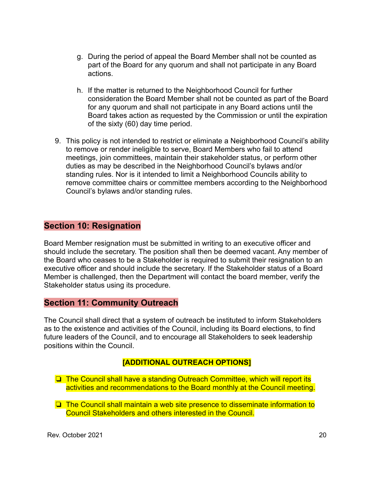- g. During the period of appeal the Board Member shall not be counted as part of the Board for any quorum and shall not participate in any Board actions.
- h. If the matter is returned to the Neighborhood Council for further consideration the Board Member shall not be counted as part of the Board for any quorum and shall not participate in any Board actions until the Board takes action as requested by the Commission or until the expiration of the sixty (60) day time period.
- 9. This policy is not intended to restrict or eliminate a Neighborhood Council's ability to remove or render ineligible to serve, Board Members who fail to attend meetings, join committees, maintain their stakeholder status, or perform other duties as may be described in the Neighborhood Council's bylaws and/or standing rules. Nor is it intended to limit a Neighborhood Councils ability to remove committee chairs or committee members according to the Neighborhood Council's bylaws and/or standing rules.

# **Section 10: Resignation**

Board Member resignation must be submitted in writing to an executive officer and should include the secretary. The position shall then be deemed vacant. Any member of the Board who ceases to be a Stakeholder is required to submit their resignation to an executive officer and should include the secretary. If the Stakeholder status of a Board Member is challenged, then the Department will contact the board member, verify the Stakeholder status using its procedure.

#### **Section 11: Community Outreach**

The Council shall direct that a system of outreach be instituted to inform Stakeholders as to the existence and activities of the Council, including its Board elections, to find future leaders of the Council, and to encourage all Stakeholders to seek leadership positions within the Council.

#### **[ADDITIONAL OUTREACH OPTIONS]**

❏ The Council shall have a standing Outreach Committee, which will report its activities and recommendations to the Board monthly at the Council meeting.

❏ The Council shall maintain a web site presence to disseminate information to Council Stakeholders and others interested in the Council.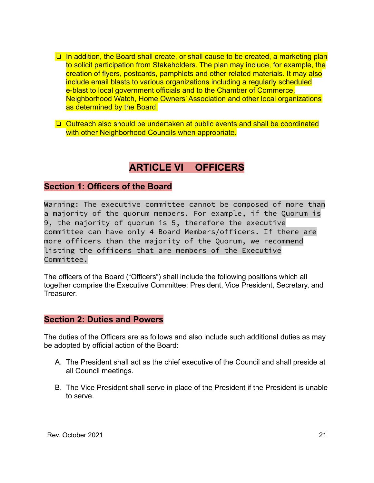- ❏ In addition, the Board shall create, or shall cause to be created, a marketing plan to solicit participation from Stakeholders. The plan may include, for example, the creation of flyers, postcards, pamphlets and other related materials. It may also include email blasts to various organizations including a regularly scheduled e-blast to local government officials and to the Chamber of Commerce, Neighborhood Watch, Home Owners' Association and other local organizations as determined by the Board.
- ❏ Outreach also should be undertaken at public events and shall be coordinated with other Neighborhood Councils when appropriate.

# **ARTICLE VI OFFICERS**

## **Section 1: Officers of the Board**

Warning: The executive committee cannot be composed of more than a majority of the quorum members. For example, if the Quorum is 9, the majority of quorum is 5, therefore the executive committee can have only 4 Board Members/officers. If there are more officers than the majority of the Quorum, we recommend listing the officers that are members of the Executive Committee.

The officers of the Board ("Officers") shall include the following positions which all together comprise the Executive Committee: President, Vice President, Secretary, and **Treasurer.** 

## **Section 2: Duties and Powers**

The duties of the Officers are as follows and also include such additional duties as may be adopted by official action of the Board:

- A. The President shall act as the chief executive of the Council and shall preside at all Council meetings.
- B. The Vice President shall serve in place of the President if the President is unable to serve.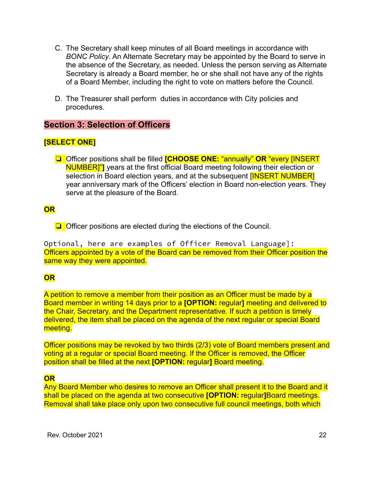- C. The Secretary shall keep minutes of all Board meetings in accordance with *BONC Policy*. An Alternate Secretary may be appointed by the Board to serve in the absence of the Secretary, as needed. Unless the person serving as Alternate Secretary is already a Board member, he or she shall not have any of the rights of a Board Member, including the right to vote on matters before the Council.
- D. The Treasurer shall perform duties in accordance with City policies and procedures.

# **Section 3: Selection of Officers**

## **[SELECT ONE]**

❏ Officer positions shall be filled **[CHOOSE ONE:** "annually" **OR** "every [INSERT NUMBER]"**]** years at the first official Board meeting following their election or selection in Board election years, and at the subsequent **[INSERT NUMBER]** year anniversary mark of the Officers' election in Board non-election years. They serve at the pleasure of the Board.

## **OR**

❏ Officer positions are elected during the elections of the Council.

Optional, here are examples of Officer Removal Language]: Officers appointed by a vote of the Board can be removed from their Officer position the same way they were appointed.

## **OR**

A petition to remove a member from their position as an Officer must be made by a Board member in writing 14 days prior to a **[OPTION:** regular**]** meeting and delivered to the Chair, Secretary, and the Department representative. If such a petition is timely delivered, the item shall be placed on the agenda of the next regular or special Board meeting.

Officer positions may be revoked by two thirds (2/3) vote of Board members present and voting at a regular or special Board meeting. If the Officer is removed, the Officer position shall be filled at the next **[OPTION:** regular**]** Board meeting.

## **OR**

Any Board Member who desires to remove an Officer shall present it to the Board and it shall be placed on the agenda at two consecutive **[OPTION:** regular**]**Board meetings. Removal shall take place only upon two consecutive full council meetings, both which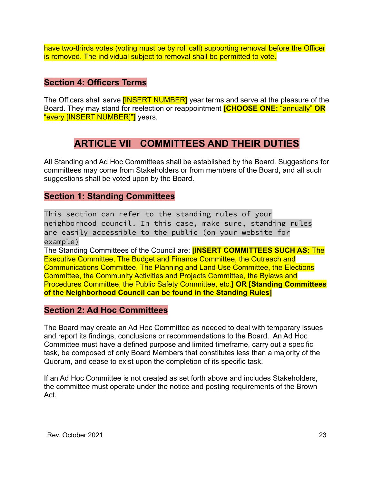have two-thirds votes (voting must be by roll call) supporting removal before the Officer is removed. The individual subject to removal shall be permitted to vote.

# **Section 4: Officers Terms**

The Officers shall serve **[INSERT NUMBER]** year terms and serve at the pleasure of the Board. They may stand for reelection or reappointment **[CHOOSE ONE:** "annually" **OR** "every [INSERT NUMBER]"**]** years.

# **ARTICLE VII COMMITTEES AND THEIR DUTIES**

All Standing and Ad Hoc Committees shall be established by the Board. Suggestions for committees may come from Stakeholders or from members of the Board, and all such suggestions shall be voted upon by the Board.

# **Section 1: Standing Committees**

This section can refer to the standing rules of your neighborhood council. In this case, make sure, standing rules are easily accessible to the public (on your website for example) The Standing Committees of the Council are: **[INSERT COMMITTEES SUCH AS:** The Executive Committee, The Budget and Finance Committee, the Outreach and Communications Committee, The Planning and Land Use Committee, the Elections Committee, the Community Activities and Projects Committee, the Bylaws and Procedures Committee, the Public Safety Committee, etc.**] OR [Standing Committees of the Neighborhood Council can be found in the Standing Rules]**

## **Section 2: Ad Hoc Committees**

The Board may create an Ad Hoc Committee as needed to deal with temporary issues and report its findings, conclusions or recommendations to the Board. An Ad Hoc Committee must have a defined purpose and limited timeframe, carry out a specific task, be composed of only Board Members that constitutes less than a majority of the Quorum, and cease to exist upon the completion of its specific task.

If an Ad Hoc Committee is not created as set forth above and includes Stakeholders, the committee must operate under the notice and posting requirements of the Brown Act.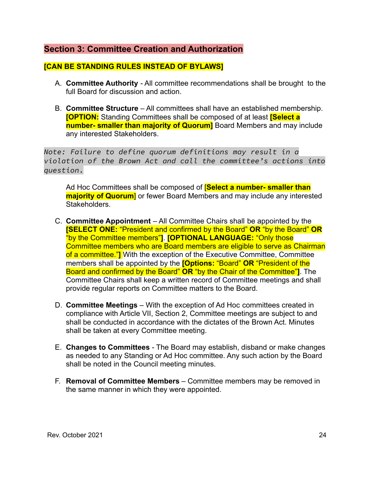# **Section 3: Committee Creation and Authorization**

## **[CAN BE STANDING RULES INSTEAD OF BYLAWS]**

- A. **Committee Authority** All committee recommendations shall be brought to the full Board for discussion and action.
- B. **Committee Structure** All committees shall have an established membership. **[OPTION:** Standing Committees shall be composed of at least **[Select a number- smaller than majority of Quorum]** Board Members and may include any interested Stakeholders.

*Note: Failure to define quorum definitions may result in a violation of the Brown Act and call the committee's actions into question*.

Ad Hoc Committees shall be composed of [**Select a number- smaller than majority of Quorum**] or fewer Board Members and may include any interested Stakeholders.

- C. **Committee Appointment** All Committee Chairs shall be appointed by the **[SELECT ONE:** "President and confirmed by the Board" **OR** "by the Board" **OR** "by the Committee members"**]**. **[OPTIONAL LANGUAGE:** "Only those Committee members who are Board members are eligible to serve as Chairman of a committee."**]** With the exception of the Executive Committee, Committee members shall be appointed by the **[Options:** "Board" **OR** "President of the Board and confirmed by the Board" **OR** "by the Chair of the Committee"**]**. The Committee Chairs shall keep a written record of Committee meetings and shall provide regular reports on Committee matters to the Board.
- D. **Committee Meetings** With the exception of Ad Hoc committees created in compliance with Article VII, Section 2, Committee meetings are subject to and shall be conducted in accordance with the dictates of the Brown Act. Minutes shall be taken at every Committee meeting.
- E. **Changes to Committees** The Board may establish, disband or make changes as needed to any Standing or Ad Hoc committee. Any such action by the Board shall be noted in the Council meeting minutes.
- F. **Removal of Committee Members** Committee members may be removed in the same manner in which they were appointed.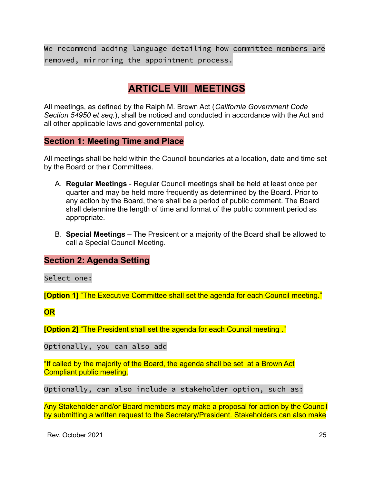We recommend adding language detailing how committee members are removed, mirroring the appointment process.

# **ARTICLE VIII MEETINGS**

All meetings, as defined by the Ralph M. Brown Act (*California Government Code Section 54950 et seq.*), shall be noticed and conducted in accordance with the Act and all other applicable laws and governmental policy.

# **Section 1: Meeting Time and Place**

All meetings shall be held within the Council boundaries at a location, date and time set by the Board or their Committees.

- A. **Regular Meetings** Regular Council meetings shall be held at least once per quarter and may be held more frequently as determined by the Board. Prior to any action by the Board, there shall be a period of public comment. The Board shall determine the length of time and format of the public comment period as appropriate.
- B. **Special Meetings** The President or a majority of the Board shall be allowed to call a Special Council Meeting.

## **Section 2: Agenda Setting**

Select one:

**[Option 1]** "The Executive Committee shall set the agenda for each Council meeting."

**OR**

**[Option 2]** "The President shall set the agenda for each Council meeting ."

Optionally, you can also add

"If called by the majority of the Board, the agenda shall be set at a Brown Act Compliant public meeting.

Optionally, can also include a stakeholder option, such as:

Any Stakeholder and/or Board members may make a proposal for action by the Council by submitting a written request to the Secretary/President. Stakeholders can also make

Rev. October 2021 25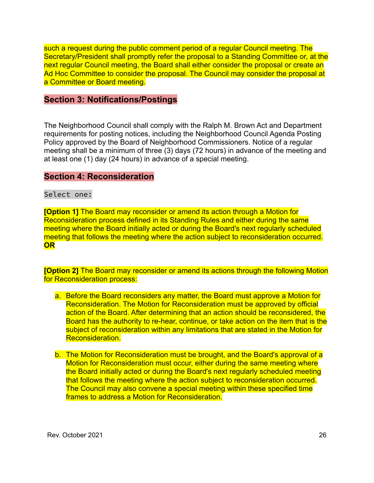such a request during the public comment period of a regular Council meeting. The Secretary/President shall promptly refer the proposal to a Standing Committee or, at the next regular Council meeting, the Board shall either consider the proposal or create an Ad Hoc Committee to consider the proposal. The Council may consider the proposal at a Committee or Board meeting.

#### **Section 3: Notifications/Postings**

The Neighborhood Council shall comply with the Ralph M. Brown Act and Department requirements for posting notices, including the Neighborhood Council Agenda Posting Policy approved by the Board of Neighborhood Commissioners. Notice of a regular meeting shall be a minimum of three (3) days (72 hours) in advance of the meeting and at least one (1) day (24 hours) in advance of a special meeting.

#### **Section 4: Reconsideration**

#### Select one:

**[Option 1]** The Board may reconsider or amend its action through a Motion for Reconsideration process defined in its Standing Rules and either during the same meeting where the Board initially acted or during the Board's next regularly scheduled meeting that follows the meeting where the action subject to reconsideration occurred. **OR**

**[Option 2]** The Board may reconsider or amend its actions through the following Motion for Reconsideration process:

- a. Before the Board reconsiders any matter, the Board must approve a Motion for Reconsideration. The Motion for Reconsideration must be approved by official action of the Board. After determining that an action should be reconsidered, the Board has the authority to re-hear, continue, or take action on the item that is the subject of reconsideration within any limitations that are stated in the Motion for Reconsideration.
- b. The Motion for Reconsideration must be brought, and the Board's approval of a Motion for Reconsideration must occur, either during the same meeting where the Board initially acted or during the Board's next regularly scheduled meeting that follows the meeting where the action subject to reconsideration occurred. The Council may also convene a special meeting within these specified time frames to address a Motion for Reconsideration.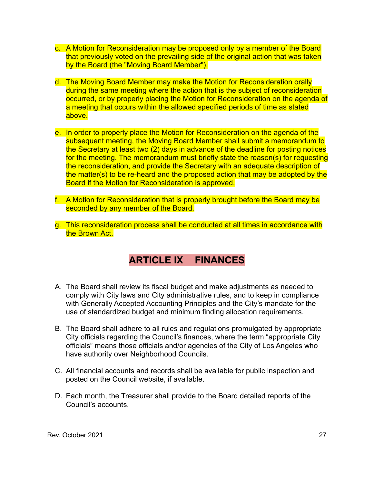- c. A Motion for Reconsideration may be proposed only by a member of the Board that previously voted on the prevailing side of the original action that was taken by the Board (the "Moving Board Member").
- d. The Moving Board Member may make the Motion for Reconsideration orally during the same meeting where the action that is the subject of reconsideration occurred, or by properly placing the Motion for Reconsideration on the agenda of a meeting that occurs within the allowed specified periods of time as stated above.
- e. In order to properly place the Motion for Reconsideration on the agenda of the subsequent meeting, the Moving Board Member shall submit a memorandum to the Secretary at least two (2) days in advance of the deadline for posting notices for the meeting. The memorandum must briefly state the reason(s) for requesting the reconsideration, and provide the Secretary with an adequate description of the matter(s) to be re-heard and the proposed action that may be adopted by the Board if the Motion for Reconsideration is approved.
- f. A Motion for Reconsideration that is properly brought before the Board may be seconded by any member of the Board.
- g. This reconsideration process shall be conducted at all times in accordance with the Brown Act.

# **ARTICLE IX FINANCES**

- A. The Board shall review its fiscal budget and make adjustments as needed to comply with City laws and City administrative rules, and to keep in compliance with Generally Accepted Accounting Principles and the City's mandate for the use of standardized budget and minimum finding allocation requirements.
- B. The Board shall adhere to all rules and regulations promulgated by appropriate City officials regarding the Council's finances, where the term "appropriate City officials" means those officials and/or agencies of the City of Los Angeles who have authority over Neighborhood Councils.
- C. All financial accounts and records shall be available for public inspection and posted on the Council website, if available.
- D. Each month, the Treasurer shall provide to the Board detailed reports of the Council's accounts.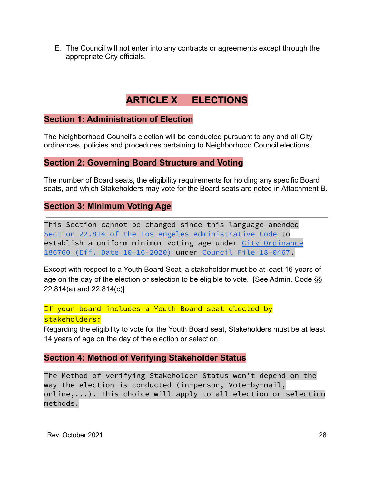E. The Council will not enter into any contracts or agreements except through the appropriate City officials.

# **ARTICLE X ELECTIONS**

## **Section 1: Administration of Election**

The Neighborhood Council's election will be conducted pursuant to any and all City ordinances, policies and procedures pertaining to Neighborhood Council elections.

#### **Section 2: Governing Board Structure and Voting**

The number of Board seats, the eligibility requirements for holding any specific Board seats, and which Stakeholders may vote for the Board seats are noted in Attachment B.

## **Section 3: Minimum Voting Age**

This Section cannot be changed since this language amended Section 22.814 of the Los Angeles [Administrative](https://codelibrary.amlegal.com/codes/los_angeles/latest/laac/0-0-0-67568) Code to establish a uniform minimum voting age under City [Ordinance](https://clkrep.lacity.org/onlinedocs/2018/18-0467_ORD_186760_10-16-2020.pdf) 186760 (Eff. Date [10-16-2020\)](https://clkrep.lacity.org/onlinedocs/2018/18-0467_ORD_186760_10-16-2020.pdf) under [Council](https://cityclerk.lacity.org/lacityclerkconnect/index.cfm?fa=ccfi.viewrecord&cfnumber=18-0467) File 18-0467.

Except with respect to a Youth Board Seat, a stakeholder must be at least 16 years of age on the day of the election or selection to be eligible to vote. [See Admin. Code §§ 22.814(a) and 22.814(c)]

If your board includes a Youth Board seat elected by stakeholders:

Regarding the eligibility to vote for the Youth Board seat, Stakeholders must be at least 14 years of age on the day of the election or selection.

## **Section 4: Method of Verifying Stakeholder Status**

The Method of verifying Stakeholder Status won't depend on the way the election is conducted (in-person, Vote-by-mail, online,...). This choice will apply to all election or selection methods.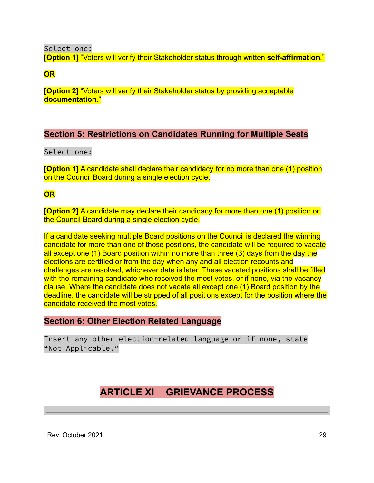Select one:

**[Option 1]** "Voters will verify their Stakeholder status through written **self-affirmation**."

**OR**

**[Option 2]** "Voters will verify their Stakeholder status by providing acceptable **documentation**."

# **Section 5: Restrictions on Candidates Running for Multiple Seats**

Select one:

**[Option 1]** A candidate shall declare their candidacy for no more than one (1) position on the Council Board during a single election cycle.

**OR**

**[Option 2]** A candidate may declare their candidacy for more than one (1) position on the Council Board during a single election cycle.

If a candidate seeking multiple Board positions on the Council is declared the winning candidate for more than one of those positions, the candidate will be required to vacate all except one (1) Board position within no more than three (3) days from the day the elections are certified or from the day when any and all election recounts and challenges are resolved, whichever date is later. These vacated positions shall be filled with the remaining candidate who received the most votes, or if none, via the vacancy clause. Where the candidate does not vacate all except one (1) Board position by the deadline, the candidate will be stripped of all positions except for the position where the candidate received the most votes.

# **Section 6: Other Election Related Language**

Insert any other election-related language or if none, state "Not Applicable."

# **ARTICLE XI GRIEVANCE PROCESS**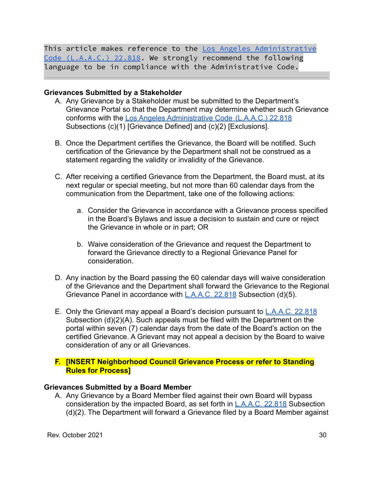This article makes reference to the Los Angeles [Administrative](https://codelibrary.amlegal.com/codes/los_angeles/latest/laac/0-0-0-82314) Code [\(L.A.A.C.\)](https://codelibrary.amlegal.com/codes/los_angeles/latest/laac/0-0-0-82314) 22.818. We strongly recommend the following language to be in compliance with the Administrative Code.

#### **Grievances Submitted by a Stakeholder**

- A. Any Grievance by a Stakeholder must be submitted to the Department's Grievance Portal so that the Department may determine whether such Grievance conforms with the [Los Angeles Administrative Code](https://codelibrary.amlegal.com/codes/los_angeles/latest/laac/0-0-0-82314) (L.A.A.C.) 22.818 Subsections (c)(1) [Grievance Defined] and (c)(2) [Exclusions].
- B. Once the Department certifies the Grievance, the Board will be notified. Such certification of the Grievance by the Department shall not be construed as a statement regarding the validity or invalidity of the Grievance.
- C. After receiving a certified Grievance from the Department, the Board must, at its next regular or special meeting, but not more than 60 calendar days from the communication from the Department, take one of the following actions:
	- a. Consider the Grievance in accordance with a Grievance process specified in the Board's Bylaws and issue a decision to sustain and cure or reject the Grievance in whole or in part; OR
	- b. Waive consideration of the Grievance and request the Department to forward the Grievance directly to a Regional Grievance Panel for consideration.
- D. Any inaction by the Board passing the 60 calendar days will waive consideration of the Grievance and the Department shall forward the Grievance to the Regional Grievance Panel in accordance with **[L.A.A.C. 22.818](https://codelibrary.amlegal.com/codes/los_angeles/latest/laac/0-0-0-82314)** Subsection (d)(5).
- E. Only the Grievant may appeal a Board's decision pursuant to [L.A.A.C. 22.818](https://codelibrary.amlegal.com/codes/los_angeles/latest/laac/0-0-0-82314) Subsection (d)(2)(A). Such appeals must be filed with the Department on the portal within seven (7) calendar days from the date of the Board's action on the certified Grievance. A Grievant may not appeal a decision by the Board to waive consideration of any or all Grievances.
- **F. [INSERT Neighborhood Council Grievance Process or refer to Standing Rules for Process]**

#### **Grievances Submitted by a Board Member**

A. Any Grievance by a Board Member filed against their own Board will bypass consideration by the impacted Board, as set forth in [L.A.A.C. 22.818](https://codelibrary.amlegal.com/codes/los_angeles/latest/laac/0-0-0-82314) Subsection (d)(2). The Department will forward a Grievance filed by a Board Member against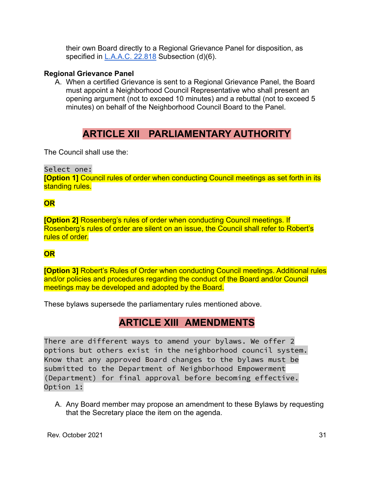their own Board directly to a Regional Grievance Panel for disposition, as specified in  $L.A.A.C. 22.818$  Subsection (d)(6).

#### **Regional Grievance Panel**

A. When a certified Grievance is sent to a Regional Grievance Panel, the Board must appoint a Neighborhood Council Representative who shall present an opening argument (not to exceed 10 minutes) and a rebuttal (not to exceed 5 minutes) on behalf of the Neighborhood Council Board to the Panel.

# **ARTICLE XII PARLIAMENTARY AUTHORITY**

The Council shall use the:

## Select one:

**[Option 1]** Council rules of order when conducting Council meetings as set forth in its standing rules.

# **OR**

**[Option 2]** Rosenberg's rules of order when conducting Council meetings. If Rosenberg's rules of order are silent on an issue, the Council shall refer to Robert's rules of order.

# **OR**

**[Option 3]** Robert's Rules of Order when conducting Council meetings. Additional rules and/or policies and procedures regarding the conduct of the Board and/or Council meetings may be developed and adopted by the Board.

These bylaws supersede the parliamentary rules mentioned above.

# **ARTICLE XIII AMENDMENTS**

There are different ways to amend your bylaws. We offer 2 options but others exist in the neighborhood council system. Know that any approved Board changes to the bylaws must be submitted to the Department of Neighborhood Empowerment (Department) for final approval before becoming effective. Option 1:

A. Any Board member may propose an amendment to these Bylaws by requesting that the Secretary place the item on the agenda.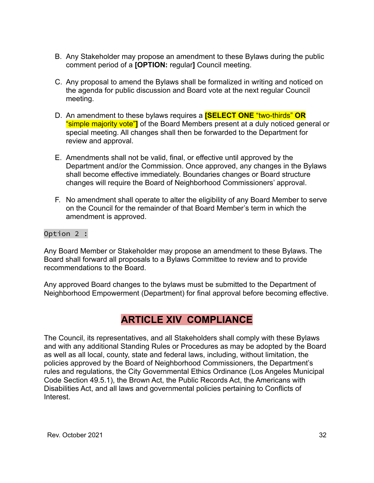- B. Any Stakeholder may propose an amendment to these Bylaws during the public comment period of a **[OPTION:** regular**]** Council meeting.
- C. Any proposal to amend the Bylaws shall be formalized in writing and noticed on the agenda for public discussion and Board vote at the next regular Council meeting.
- D. An amendment to these bylaws requires a **[SELECT ONE** "two-thirds" **OR** "simple majority vote"**]** of the Board Members present at a duly noticed general or special meeting. All changes shall then be forwarded to the Department for review and approval.
- E. Amendments shall not be valid, final, or effective until approved by the Department and/or the Commission. Once approved, any changes in the Bylaws shall become effective immediately. Boundaries changes or Board structure changes will require the Board of Neighborhood Commissioners' approval.
- F. No amendment shall operate to alter the eligibility of any Board Member to serve on the Council for the remainder of that Board Member's term in which the amendment is approved.

#### Option 2 :

Any Board Member or Stakeholder may propose an amendment to these Bylaws. The Board shall forward all proposals to a Bylaws Committee to review and to provide recommendations to the Board.

Any approved Board changes to the bylaws must be submitted to the Department of Neighborhood Empowerment (Department) for final approval before becoming effective.

# **ARTICLE XIV COMPLIANCE**

The Council, its representatives, and all Stakeholders shall comply with these Bylaws and with any additional Standing Rules or Procedures as may be adopted by the Board as well as all local, county, state and federal laws, including, without limitation, the policies approved by the Board of Neighborhood Commissioners, the Department's rules and regulations, the City Governmental Ethics Ordinance (Los Angeles Municipal Code Section 49.5.1), the Brown Act, the Public Records Act, the Americans with Disabilities Act, and all laws and governmental policies pertaining to Conflicts of Interest.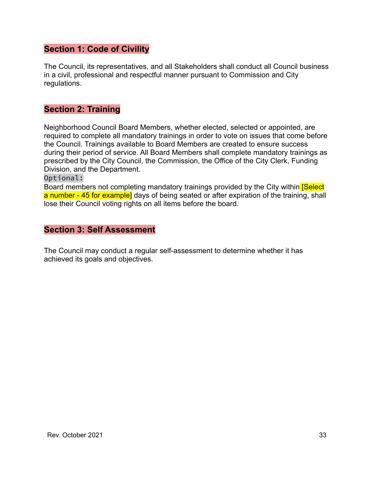# **Section 1: Code of Civility**

The Council, its representatives, and all Stakeholders shall conduct all Council business in a civil, professional and respectful manner pursuant to Commission and City regulations.

# **Section 2: Training**

Neighborhood Council Board Members, whether elected, selected or appointed, are required to complete all mandatory trainings in order to vote on issues that come before the Council. Trainings available to Board Members are created to ensure success during their period of service. All Board Members shall complete mandatory trainings as prescribed by the City Council, the Commission, the Office of the City Clerk, Funding Division, and the Department.

Optional:

Board members not completing mandatory trainings provided by the City within **Select** a number - 45 for example] days of being seated or after expiration of the training, shall lose their Council voting rights on all items before the board.

#### **Section 3: Self Assessment**

The Council may conduct a regular self-assessment to determine whether it has achieved its goals and objectives.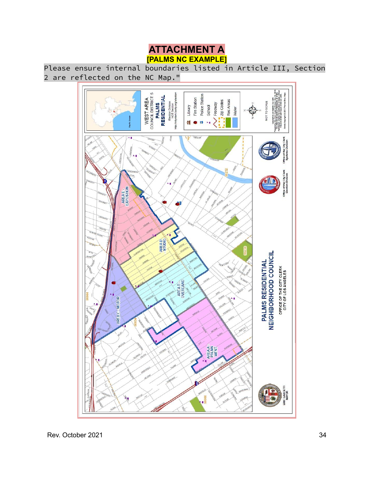

Please ensure internal boundaries listed in Article III, Section 2 are reflected on the NC Map."

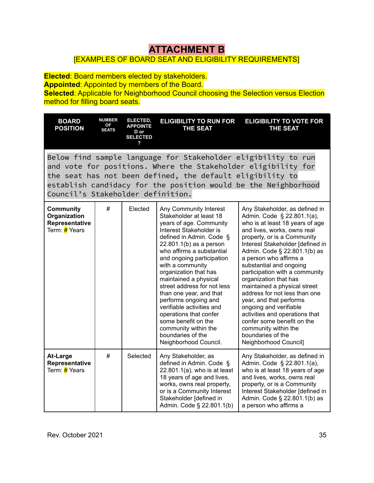# **ATTACHMENT B**

## [EXAMPLES OF BOARD SEAT AND ELIGIBILITY REQUIREMENTS]

**Elected**: Board members elected by stakeholders. **Appointed**: Appointed by members of the Board. **Selected:** Applicable for Neighborhood Council choosing the Selection versus Election method for filling board seats.

**BOARD POSITION NUMBER OF SEATS ELECTED, APPOINTE D or SELECTED ? ELIGIBILITY TO RUN FOR THE SEAT ELIGIBILITY TO VOTE FOR THE SEAT** Below find sample language for Stakeholder eligibility to run and vote for positions. Where the Stakeholder eligibility for the seat has not been defined, the default eligibility to establish candidacy for the position would be the Neighborhood Council's Stakeholder definition. **Community Organization Representative** Term: **#** Years # | Elected | Any Community Interest Stakeholder at least 18 years of age. Community Interest Stakeholder is defined in Admin. Code § 22.801.1(b) as a person who affirms a substantial and ongoing participation with a community organization that has maintained a physical street address for not less than one year, and that performs ongoing and verifiable activities and operations that confer some benefit on the community within the boundaries of the Neighborhood Council. Any Stakeholder, as defined in Admin. Code § 22.801.1(a), who is at least 18 years of age and lives, works, owns real property, or is a Community Interest Stakeholder [defined in Admin. Code § 22.801.1(b) as a person who affirms a substantial and ongoing participation with a community organization that has maintained a physical street address for not less than one year, and that performs ongoing and verifiable activities and operations that confer some benefit on the community within the boundaries of the Neighborhood Council] **At-Large Representative** Term: **#** Years # | Selected | Any Stakeholder, as defined in Admin. Code § 22.801.1(a), who is at least 18 years of age and lives, works, owns real property, or is a Community Interest Stakeholder [defined in Admin. Code § 22.801.1(b) Any Stakeholder, as defined in Admin. Code § 22.801.1(a), who is at least 18 years of age and lives, works, owns real property, or is a Community Interest Stakeholder [defined in Admin. Code § 22.801.1(b) as a person who affirms a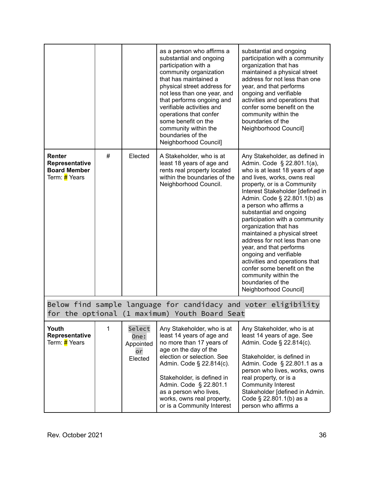|                                                                                                                 |   |                                              | as a person who affirms a<br>substantial and ongoing<br>participation with a<br>community organization<br>that has maintained a<br>physical street address for<br>not less than one year, and<br>that performs ongoing and<br>verifiable activities and<br>operations that confer<br>some benefit on the<br>community within the<br>boundaries of the<br>Neighborhood Council] | substantial and ongoing<br>participation with a community<br>organization that has<br>maintained a physical street<br>address for not less than one<br>year, and that performs<br>ongoing and verifiable<br>activities and operations that<br>confer some benefit on the<br>community within the<br>boundaries of the<br>Neighborhood Council]                                                                                                                                                                                                                                                                |
|-----------------------------------------------------------------------------------------------------------------|---|----------------------------------------------|--------------------------------------------------------------------------------------------------------------------------------------------------------------------------------------------------------------------------------------------------------------------------------------------------------------------------------------------------------------------------------|---------------------------------------------------------------------------------------------------------------------------------------------------------------------------------------------------------------------------------------------------------------------------------------------------------------------------------------------------------------------------------------------------------------------------------------------------------------------------------------------------------------------------------------------------------------------------------------------------------------|
| Renter<br>Representative<br><b>Board Member</b><br>Term: # Years                                                | # | Elected                                      | A Stakeholder, who is at<br>least 18 years of age and<br>rents real property located<br>within the boundaries of the<br>Neighborhood Council.                                                                                                                                                                                                                                  | Any Stakeholder, as defined in<br>Admin. Code § 22.801.1(a),<br>who is at least 18 years of age<br>and lives, works, owns real<br>property, or is a Community<br>Interest Stakeholder [defined in<br>Admin. Code § 22.801.1(b) as<br>a person who affirms a<br>substantial and ongoing<br>participation with a community<br>organization that has<br>maintained a physical street<br>address for not less than one<br>year, and that performs<br>ongoing and verifiable<br>activities and operations that<br>confer some benefit on the<br>community within the<br>boundaries of the<br>Neighborhood Council] |
| Below find sample language for candidacy and voter eligibility<br>for the optional (1 maximum) Youth Board Seat |   |                                              |                                                                                                                                                                                                                                                                                                                                                                                |                                                                                                                                                                                                                                                                                                                                                                                                                                                                                                                                                                                                               |
| Youth<br>Representative<br>Term: # Years                                                                        | 1 | Select<br>One:<br>Appointed<br>or<br>Elected | Any Stakeholder, who is at<br>least 14 years of age and<br>no more than 17 years of<br>age on the day of the<br>election or selection. See<br>Admin. Code § 22.814(c).<br>Stakeholder, is defined in<br>Admin. Code § 22.801.1<br>as a person who lives,<br>works, owns real property,<br>or is a Community Interest                                                           | Any Stakeholder, who is at<br>least 14 years of age. See<br>Admin. Code § 22.814(c).<br>Stakeholder, is defined in<br>Admin. Code § 22.801.1 as a<br>person who lives, works, owns<br>real property, or is a<br><b>Community Interest</b><br>Stakeholder [defined in Admin.<br>Code § 22.801.1(b) as a<br>person who affirms a                                                                                                                                                                                                                                                                                |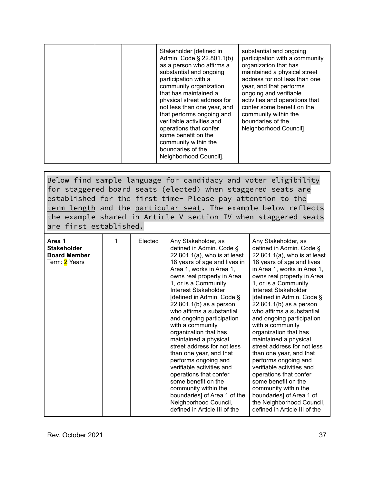|  | Stakeholder [defined in<br>Admin. Code § 22.801.1(b)<br>as a person who affirms a<br>substantial and ongoing<br>participation with a<br>community organization<br>that has maintained a<br>physical street address for<br>not less than one year, and<br>that performs ongoing and<br>verifiable activities and<br>operations that confer<br>some benefit on the<br>community within the<br>boundaries of the | substantial and ongoing<br>participation with a community<br>organization that has<br>maintained a physical street<br>address for not less than one<br>year, and that performs<br>ongoing and verifiable<br>activities and operations that<br>confer some benefit on the<br>community within the<br>boundaries of the<br>Neighborhood Council] |
|--|---------------------------------------------------------------------------------------------------------------------------------------------------------------------------------------------------------------------------------------------------------------------------------------------------------------------------------------------------------------------------------------------------------------|------------------------------------------------------------------------------------------------------------------------------------------------------------------------------------------------------------------------------------------------------------------------------------------------------------------------------------------------|
|  | Neighborhood Council].                                                                                                                                                                                                                                                                                                                                                                                        |                                                                                                                                                                                                                                                                                                                                                |

Below find sample language for candidacy and voter eligibility for staggered board seats (elected) when staggered seats are established for the first time- Please pay attention to the term length and the particular seat. The example below reflects the example shared in Article V section IV when staggered seats are first established.

| Area 1<br><b>Stakeholder</b><br><b>Board Member</b><br>Term: 2 Years | Elected | Any Stakeholder, as<br>defined in Admin. Code §<br>$22.801.1(a)$ , who is at least<br>18 years of age and lives in<br>Area 1, works in Area 1,<br>owns real property in Area<br>1, or is a Community<br>Interest Stakeholder<br>[defined in Admin. Code §<br>22.801.1(b) as a person<br>who affirms a substantial<br>and ongoing participation<br>with a community<br>organization that has<br>maintained a physical<br>street address for not less<br>than one year, and that<br>performs ongoing and<br>verifiable activities and<br>operations that confer<br>some benefit on the<br>community within the<br>boundaries] of Area 1 of the | Any Stakeholder, as<br>defined in Admin. Code §<br>$22.801.1(a)$ , who is at least<br>18 years of age and lives<br>in Area 1, works in Area 1,<br>owns real property in Area<br>1, or is a Community<br>Interest Stakeholder<br>[defined in Admin. Code §<br>22.801.1(b) as a person<br>who affirms a substantial<br>and ongoing participation<br>with a community<br>organization that has<br>maintained a physical<br>street address for not less<br>than one year, and that<br>performs ongoing and<br>verifiable activities and<br>operations that confer<br>some benefit on the<br>community within the<br>boundaries] of Area 1 of |
|----------------------------------------------------------------------|---------|----------------------------------------------------------------------------------------------------------------------------------------------------------------------------------------------------------------------------------------------------------------------------------------------------------------------------------------------------------------------------------------------------------------------------------------------------------------------------------------------------------------------------------------------------------------------------------------------------------------------------------------------|------------------------------------------------------------------------------------------------------------------------------------------------------------------------------------------------------------------------------------------------------------------------------------------------------------------------------------------------------------------------------------------------------------------------------------------------------------------------------------------------------------------------------------------------------------------------------------------------------------------------------------------|
|                                                                      |         | Neighborhood Council,<br>defined in Article III of the                                                                                                                                                                                                                                                                                                                                                                                                                                                                                                                                                                                       | the Neighborhood Council,<br>defined in Article III of the                                                                                                                                                                                                                                                                                                                                                                                                                                                                                                                                                                               |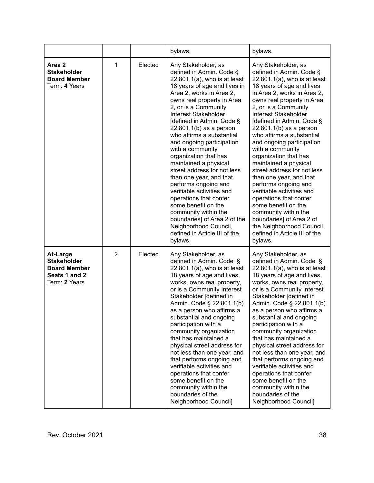|                                                                                                |                |         | bylaws.                                                                                                                                                                                                                                                                                                                                                                                                                                                                                                                                                                                                                                                                                                             | bylaws.                                                                                                                                                                                                                                                                                                                                                                                                                                                                                                                                                                                                                                                                                                             |
|------------------------------------------------------------------------------------------------|----------------|---------|---------------------------------------------------------------------------------------------------------------------------------------------------------------------------------------------------------------------------------------------------------------------------------------------------------------------------------------------------------------------------------------------------------------------------------------------------------------------------------------------------------------------------------------------------------------------------------------------------------------------------------------------------------------------------------------------------------------------|---------------------------------------------------------------------------------------------------------------------------------------------------------------------------------------------------------------------------------------------------------------------------------------------------------------------------------------------------------------------------------------------------------------------------------------------------------------------------------------------------------------------------------------------------------------------------------------------------------------------------------------------------------------------------------------------------------------------|
| Area 2<br><b>Stakeholder</b><br><b>Board Member</b><br>Term: 4 Years                           | 1              | Elected | Any Stakeholder, as<br>defined in Admin. Code §<br>$22.801.1(a)$ , who is at least<br>18 years of age and lives in<br>Area 2, works in Area 2,<br>owns real property in Area<br>2, or is a Community<br>Interest Stakeholder<br>[defined in Admin. Code §<br>$22.801.1(b)$ as a person<br>who affirms a substantial<br>and ongoing participation<br>with a community<br>organization that has<br>maintained a physical<br>street address for not less<br>than one year, and that<br>performs ongoing and<br>verifiable activities and<br>operations that confer<br>some benefit on the<br>community within the<br>boundaries] of Area 2 of the<br>Neighborhood Council,<br>defined in Article III of the<br>bylaws. | Any Stakeholder, as<br>defined in Admin. Code §<br>$22.801.1(a)$ , who is at least<br>18 years of age and lives<br>in Area 2, works in Area 2,<br>owns real property in Area<br>2, or is a Community<br>Interest Stakeholder<br>[defined in Admin. Code §<br>$22.801.1(b)$ as a person<br>who affirms a substantial<br>and ongoing participation<br>with a community<br>organization that has<br>maintained a physical<br>street address for not less<br>than one year, and that<br>performs ongoing and<br>verifiable activities and<br>operations that confer<br>some benefit on the<br>community within the<br>boundaries] of Area 2 of<br>the Neighborhood Council,<br>defined in Article III of the<br>bylaws. |
| <b>At-Large</b><br><b>Stakeholder</b><br><b>Board Member</b><br>Seats 1 and 2<br>Term: 2 Years | $\overline{2}$ | Elected | Any Stakeholder, as<br>defined in Admin. Code §<br>$22.801.1(a)$ , who is at least<br>18 years of age and lives,<br>works, owns real property,<br>or is a Community Interest<br>Stakeholder [defined in<br>Admin. Code § 22.801.1(b)<br>as a person who affirms a<br>substantial and ongoing<br>participation with a<br>community organization<br>that has maintained a<br>physical street address for<br>not less than one year, and<br>that performs ongoing and<br>verifiable activities and<br>operations that confer<br>some benefit on the<br>community within the<br>boundaries of the<br>Neighborhood Council]                                                                                              | Any Stakeholder, as<br>defined in Admin. Code §<br>$22.801.1(a)$ , who is at least<br>18 years of age and lives,<br>works, owns real property,<br>or is a Community Interest<br>Stakeholder [defined in<br>Admin. Code § 22.801.1(b)<br>as a person who affirms a<br>substantial and ongoing<br>participation with a<br>community organization<br>that has maintained a<br>physical street address for<br>not less than one year, and<br>that performs ongoing and<br>verifiable activities and<br>operations that confer<br>some benefit on the<br>community within the<br>boundaries of the<br>Neighborhood Council]                                                                                              |